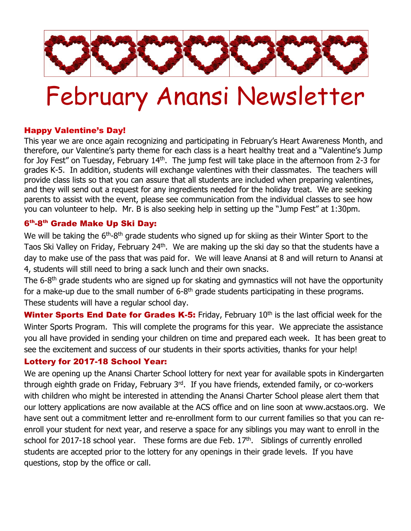

# February Anansi Newsletter

## Happy Valentine's Day!

This year we are once again recognizing and participating in February's Heart Awareness Month, and therefore, our Valentine's party theme for each class is a heart healthy treat and a "Valentine's Jump for Joy Fest" on Tuesday, February 14<sup>th</sup>. The jump fest will take place in the afternoon from 2-3 for grades K-5. In addition, students will exchange valentines with their classmates. The teachers will provide class lists so that you can assure that all students are included when preparing valentines, and they will send out a request for any ingredients needed for the holiday treat. We are seeking parents to assist with the event, please see communication from the individual classes to see how you can volunteer to help. Mr. B is also seeking help in setting up the "Jump Fest" at 1:30pm.

### 6<sup>th</sup>-8<sup>th</sup> Grade Make Up Ski Day:

We will be taking the 6<sup>th</sup>-8<sup>th</sup> grade students who signed up for skiing as their Winter Sport to the Taos Ski Valley on Friday, February 24<sup>th</sup>. We are making up the ski day so that the students have a day to make use of the pass that was paid for. We will leave Anansi at 8 and will return to Anansi at 4, students will still need to bring a sack lunch and their own snacks.

The 6-8<sup>th</sup> grade students who are signed up for skating and gymnastics will not have the opportunity for a make-up due to the small number of  $6-8<sup>th</sup>$  grade students participating in these programs. These students will have a regular school day.

**Winter Sports End Date for Grades K-5:** Friday, February  $10<sup>th</sup>$  is the last official week for the Winter Sports Program. This will complete the programs for this year. We appreciate the assistance you all have provided in sending your children on time and prepared each week. It has been great to see the excitement and success of our students in their sports activities, thanks for your help!

### Lottery for 2017-18 School Year:

We are opening up the Anansi Charter School lottery for next year for available spots in Kindergarten through eighth grade on Friday, February 3<sup>rd</sup>. If you have friends, extended family, or co-workers with children who might be interested in attending the Anansi Charter School please alert them that our lottery applications are now available at the ACS office and on line soon at www.acstaos.org. We have sent out a commitment letter and re-enrollment form to our current families so that you can reenroll your student for next year, and reserve a space for any siblings you may want to enroll in the school for 2017-18 school year. These forms are due Feb. 17<sup>th</sup>. Siblings of currently enrolled students are accepted prior to the lottery for any openings in their grade levels. If you have questions, stop by the office or call.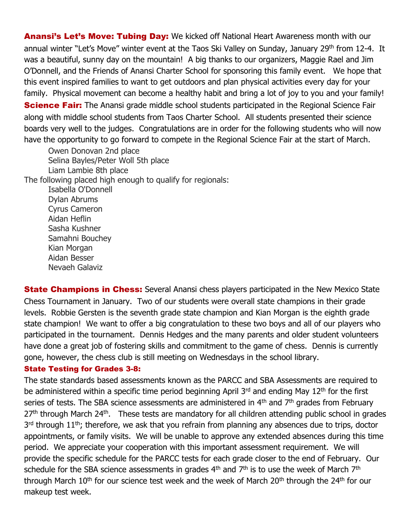Anansi's Let's Move: Tubing Day: We kicked off National Heart Awareness month with our annual winter "Let's Move" winter event at the Taos Ski Valley on Sunday, January 29th from 12-4. It was a beautiful, sunny day on the mountain! A big thanks to our organizers, Maggie Rael and Jim O'Donnell, and the Friends of Anansi Charter School for sponsoring this family event. We hope that this event inspired families to want to get outdoors and plan physical activities every day for your family. Physical movement can become a healthy habit and bring a lot of joy to you and your family! **Science Fair:** The Anansi grade middle school students participated in the Regional Science Fair along with middle school students from Taos Charter School. All students presented their science boards very well to the judges. Congratulations are in order for the following students who will now have the opportunity to go forward to compete in the Regional Science Fair at the start of March.

Owen Donovan 2nd place Selina Bayles/Peter Woll 5th place Liam Lambie 8th place The following placed high enough to qualify for regionals: Isabella O'Donnell Dylan Abrums Cyrus Cameron Aidan Heflin Sasha Kushner Samahni Bouchey Kian Morgan Aidan Besser Nevaeh Galaviz

**State Champions in Chess:** Several Anansi chess players participated in the New Mexico State Chess Tournament in January. Two of our students were overall state champions in their grade levels. Robbie Gersten is the seventh grade state champion and Kian Morgan is the eighth grade state champion! We want to offer a big congratulation to these two boys and all of our players who participated in the tournament. Dennis Hedges and the many parents and older student volunteers have done a great job of fostering skills and commitment to the game of chess. Dennis is currently gone, however, the chess club is still meeting on Wednesdays in the school library.

#### State Testing for Grades 3-8:

The state standards based assessments known as the PARCC and SBA Assessments are required to be administered within a specific time period beginning April 3<sup>rd</sup> and ending May 12<sup>th</sup> for the first series of tests. The SBA science assessments are administered in  $4<sup>th</sup>$  and  $7<sup>th</sup>$  grades from February 27<sup>th</sup> through March 24<sup>th</sup>. These tests are mandatory for all children attending public school in grades 3<sup>rd</sup> through 11<sup>th</sup>; therefore, we ask that you refrain from planning any absences due to trips, doctor appointments, or family visits. We will be unable to approve any extended absences during this time period. We appreciate your cooperation with this important assessment requirement. We will provide the specific schedule for the PARCC tests for each grade closer to the end of February. Our schedule for the SBA science assessments in grades  $4<sup>th</sup>$  and  $7<sup>th</sup>$  is to use the week of March  $7<sup>th</sup>$ through March  $10<sup>th</sup>$  for our science test week and the week of March  $20<sup>th</sup>$  through the  $24<sup>th</sup>$  for our makeup test week.